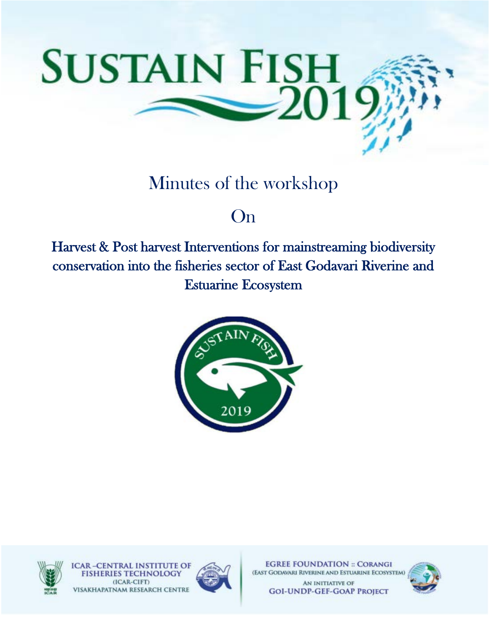

## Minutes of the workshop

## On

Harvest & Post harvest Interventions for mainstreaming biodiversity conservation into the fisheries sector of East Godavari Riverine and Estuarine Ecosystem





**CAR-CENTRAL INSTITUTE OF** (ICAR-CIFT) VISAKHAPATNAM RESEARCH CENTRE



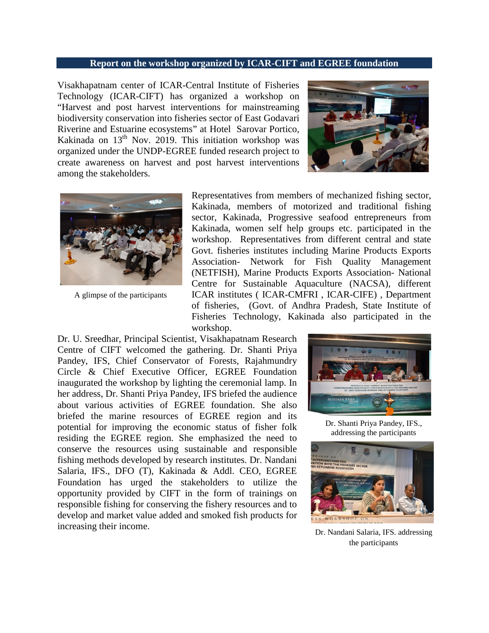## **Report on the workshop organized by ICAR-CIFT and EGREE foundation**

Visakhapatnam center of ICAR-Central Institute of Fisheries Technology (ICAR-CIFT) has organized a workshop on "Harvest and post harvest interventions for mainstreaming biodiversity conservation into fisheries sector of East Godavari Riverine and Estuarine ecosystems" at Hotel Sarovar Portico, Kakinada on 13<sup>th</sup> Nov. 2019. This initiation workshop was organized under the UNDP-EGREE funded research project to create awareness on harvest and post harvest interventions among the stakeholders.





A glimpse of the participants

Representatives from members of mechanized fishing sector, Kakinada, members of motorized and traditional fishing sector, Kakinada, Progressive seafood entrepreneurs from Kakinada, women self help groups etc. participated in the workshop. Representatives from different central and state Govt. fisheries institutes including Marine Products Exports Association- Network for Fish Quality Management (NETFISH), Marine Products Exports Association- National Centre for Sustainable Aquaculture (NACSA), different ICAR institutes ( ICAR-CMFRI , ICAR-CIFE) , Department of fisheries, (Govt. of Andhra Pradesh, State Institute of Fisheries Technology, Kakinada also participated in the workshop.

Dr. U. Sreedhar, Principal Scientist, Visakhapatnam Research Centre of CIFT welcomed the gathering. Dr. Shanti Priya Pandey, IFS, Chief Conservator of Forests, Rajahmundry Circle & Chief Executive Officer, EGREE Foundation inaugurated the workshop by lighting the ceremonial lamp. In her address, Dr. Shanti Priya Pandey, IFS briefed the audience about various activities of EGREE foundation. She also briefed the marine resources of EGREE region and its potential for improving the economic status of fisher folk residing the EGREE region. She emphasized the need to conserve the resources using sustainable and responsible fishing methods developed by research institutes. Dr. Nandani Salaria, IFS., DFO (T), Kakinada & Addl. CEO, EGREE Foundation has urged the stakeholders to utilize the opportunity provided by CIFT in the form of trainings on responsible fishing for conserving the fishery resources and to develop and market value added and smoked fish products for increasing their income.



Dr. Shanti Priya Pandey, IFS., addressing the participants



Dr. Nandani Salaria, IFS. addressing the participants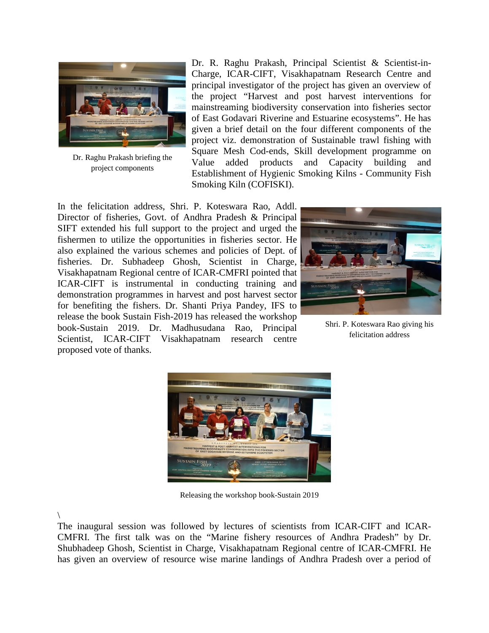

Dr. Raghu Prakash briefing the project components

Dr. R. Raghu Prakash, Principal Scientist & Scientist-in-Charge, ICAR-CIFT, Visakhapatnam Research Centre and principal investigator of the project has given an overview of the project "Harvest and post harvest interventions for mainstreaming biodiversity conservation into fisheries sector of East Godavari Riverine and Estuarine ecosystems". He has given a brief detail on the four different components of the project viz. demonstration of Sustainable trawl fishing with Square Mesh Cod-ends, Skill development programme on Value added products and Capacity building and Establishment of Hygienic Smoking Kilns - Community Fish Smoking Kiln (COFISKI).

In the felicitation address, Shri. P. Koteswara Rao, Addl. Director of fisheries, Govt. of Andhra Pradesh & Principal SIFT extended his full support to the project and urged the fishermen to utilize the opportunities in fisheries sector. He also explained the various schemes and policies of Dept. of fisheries. Dr. Subhadeep Ghosh, Scientist in Charge, Visakhapatnam Regional centre of ICAR-CMFRI pointed that ICAR-CIFT is instrumental in conducting training and demonstration programmes in harvest and post harvest sector for benefiting the fishers. Dr. Shanti Priya Pandey, IFS to release the book Sustain Fish-2019 has released the workshop book-Sustain 2019. Dr. Madhusudana Rao, Principal Scientist, ICAR-CIFT Visakhapatnam research centre proposed vote of thanks.



Shri. P. Koteswara Rao giving his felicitation address



Releasing the workshop book-Sustain 2019

\

The inaugural session was followed by lectures of scientists from ICAR-CIFT and ICAR-CMFRI. The first talk was on the "Marine fishery resources of Andhra Pradesh" by Dr. Shubhadeep Ghosh, Scientist in Charge, Visakhapatnam Regional centre of ICAR-CMFRI. He has given an overview of resource wise marine landings of Andhra Pradesh over a period of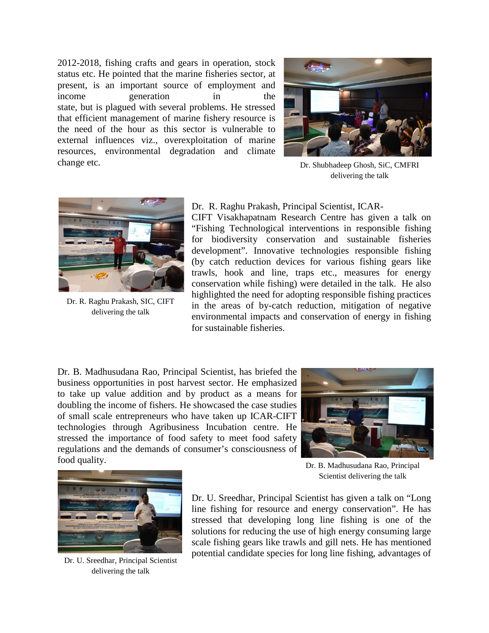2012-2018, fishing crafts and gears in operation, stock status etc. He pointed that the marine fisheries sector, at present, is an important source of employment and income generation in the state, but is plagued with several problems. He stressed that efficient management of marine fishery resource is the need of the hour as this sector is vulnerable to external influences viz., overexploitation of marine resources, environmental degradation and climate change etc.



Dr. Shubhadeep Ghosh, SiC, CMFRI delivering the talk



Dr. R. Raghu Prakash, SIC, CIFT delivering the talk

Dr. R. Raghu Prakash, Principal Scientist, ICAR-

CIFT Visakhapatnam Research Centre has given a talk on "Fishing Technological interventions in responsible fishing for biodiversity conservation and sustainable fisheries development". Innovative technologies responsible fishing (by catch reduction devices for various fishing gears like trawls, hook and line, traps etc., measures for energy conservation while fishing) were detailed in the talk. He also highlighted the need for adopting responsible fishing practices in the areas of by-catch reduction, mitigation of negative environmental impacts and conservation of energy in fishing for sustainable fisheries.

Dr. B. Madhusudana Rao, Principal Scientist, has briefed the business opportunities in post harvest sector. He emphasized to take up value addition and by product as a means for doubling the income of fishers. He showcased the case studies of small scale entrepreneurs who have taken up ICAR-CIFT technologies through Agribusiness Incubation centre. He stressed the importance of food safety to meet food safety regulations and the demands of consumer's consciousness of food quality.





Dr. U. Sreedhar, Principal Scientist delivering the talk

Dr. B. Madhusudana Rao, Principal Scientist delivering the talk

Dr. U. Sreedhar, Principal Scientist has given a talk on "Long line fishing for resource and energy conservation". He has stressed that developing long line fishing is one of the solutions for reducing the use of high energy consuming large scale fishing gears like trawls and gill nets. He has mentioned potential candidate species for long line fishing, advantages of